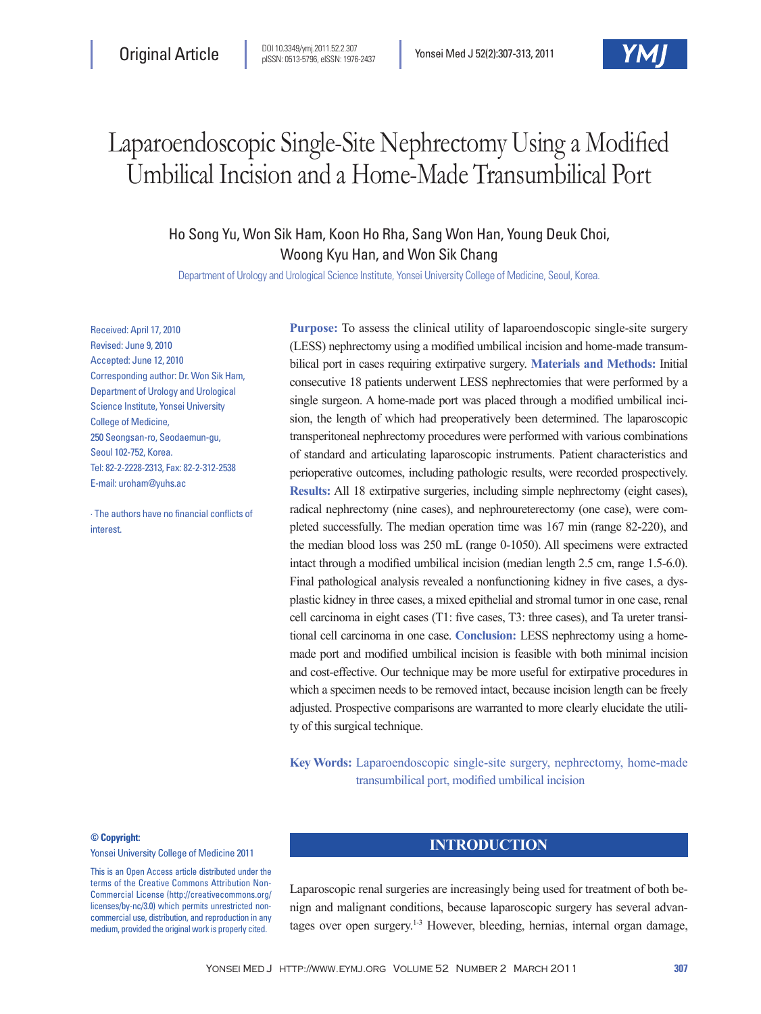# Laparoendoscopic Single-Site Nephrectomy Using a Modified Umbilical Incision and a Home-Made Transumbilical Port

Ho Song Yu, Won Sik Ham, Koon Ho Rha, Sang Won Han, Young Deuk Choi, Woong Kyu Han, and Won Sik Chang

Department of Urology and Urological Science Institute, Yonsei University College of Medicine, Seoul, Korea.

Received: April 17, 2010 Revised: June 9, 2010 Accepted: June 12, 2010 Corresponding author: Dr. Won Sik Ham, Department of Urology and Urological Science Institute, Yonsei University College of Medicine, 250 Seongsan-ro, Seodaemun-gu, Seoul 102-752, Korea. Tel: 82-2-2228-2313, Fax: 82-2-312-2538 E-mail: uroham@yuhs.ac

∙ The authors have no financial conflicts of interest.

**Purpose:** To assess the clinical utility of laparoendoscopic single-site surgery (LESS) nephrectomy using a modified umbilical incision and home-made transumbilical port in cases requiring extirpative surgery. **Materials and Methods:** Initial consecutive 18 patients underwent LESS nephrectomies that were performed by a single surgeon. A home-made port was placed through a modified umbilical incision, the length of which had preoperatively been determined. The laparoscopic transperitoneal nephrectomy procedures were performed with various combinations of standard and articulating laparoscopic instruments. Patient characteristics and perioperative outcomes, including pathologic results, were recorded prospectively. **Results:** All 18 extirpative surgeries, including simple nephrectomy (eight cases), radical nephrectomy (nine cases), and nephroureterectomy (one case), were completed successfully. The median operation time was 167 min (range 82-220), and the median blood loss was 250 mL (range 0-1050). All specimens were extracted intact through a modified umbilical incision (median length 2.5 cm, range 1.5-6.0). Final pathological analysis revealed a nonfunctioning kidney in five cases, a dysplastic kidney in three cases, a mixed epithelial and stromal tumor in one case, renal cell carcinoma in eight cases (T1: five cases, T3: three cases), and Ta ureter transitional cell carcinoma in one case. **Conclusion:** LESS nephrectomy using a homemade port and modified umbilical incision is feasible with both minimal incision and cost-effective. Our technique may be more useful for extirpative procedures in which a specimen needs to be removed intact, because incision length can be freely adjusted. Prospective comparisons are warranted to more clearly elucidate the utility of this surgical technique.

**Key Words:** Laparoendoscopic single-site surgery, nephrectomy, home-made transumbilical port, modified umbilical incision

#### **© Copyright:**

Yonsei University College of Medicine 2011

This is an Open Access article distributed under the terms of the Creative Commons Attribution Non-Commercial License (http://creativecommons.org/ licenses/by-nc/3.0) which permits unrestricted noncommercial use, distribution, and reproduction in any medium, provided the original work is properly cited.

## **INTRODUCTION**

Laparoscopic renal surgeries are increasingly being used for treatment of both benign and malignant conditions, because laparoscopic surgery has several advantages over open surgery.<sup>1-3</sup> However, bleeding, hernias, internal organ damage,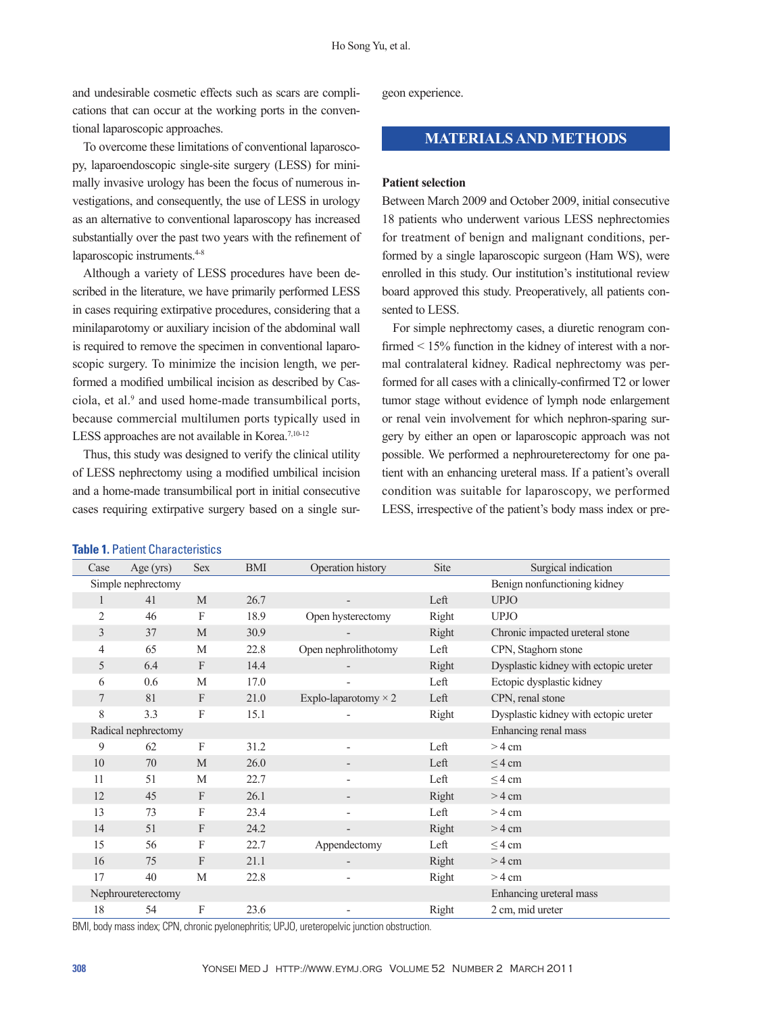and undesirable cosmetic effects such as scars are complications that can occur at the working ports in the conventional laparoscopic approaches.

To overcome these limitations of conventional laparoscopy, laparoendoscopic single-site surgery (LESS) for minimally invasive urology has been the focus of numerous investigations, and consequently, the use of LESS in urology as an alternative to conventional laparoscopy has increased substantially over the past two years with the refinement of laparoscopic instruments.<sup>4-8</sup>

Although a variety of LESS procedures have been described in the literature, we have primarily performed LESS in cases requiring extirpative procedures, considering that a minilaparotomy or auxiliary incision of the abdominal wall is required to remove the specimen in conventional laparoscopic surgery. To minimize the incision length, we performed a modified umbilical incision as described by Casciola, et al.<sup>9</sup> and used home-made transumbilical ports, because commercial multilumen ports typically used in LESS approaches are not available in Korea.<sup>7,10-12</sup>

Thus, this study was designed to verify the clinical utility of LESS nephrectomy using a modified umbilical incision and a home-made transumbilical port in initial consecutive cases requiring extirpative surgery based on a single sur-

**Table 1.** Patient Characteristics

| geon experience. |
|------------------|

# **MATERIALS AND METHODS**

#### **Patient selection**

Between March 2009 and October 2009, initial consecutive 18 patients who underwent various LESS nephrectomies for treatment of benign and malignant conditions, performed by a single laparoscopic surgeon (Ham WS), were enrolled in this study. Our institution's institutional review board approved this study. Preoperatively, all patients consented to LESS.

For simple nephrectomy cases, a diuretic renogram confirmed < 15% function in the kidney of interest with a normal contralateral kidney. Radical nephrectomy was performed for all cases with a clinically-confirmed T2 or lower tumor stage without evidence of lymph node enlargement or renal vein involvement for which nephron-sparing surgery by either an open or laparoscopic approach was not possible. We performed a nephroureterectomy for one patient with an enhancing ureteral mass. If a patient's overall condition was suitable for laparoscopy, we performed LESS, irrespective of the patient's body mass index or pre-

| Case           | Age $(yrs)$                                        | <b>Sex</b> | <b>BMI</b> | Operation history           | Site                 | Surgical indication                   |  |  |
|----------------|----------------------------------------------------|------------|------------|-----------------------------|----------------------|---------------------------------------|--|--|
|                | Benign nonfunctioning kidney<br>Simple nephrectomy |            |            |                             |                      |                                       |  |  |
|                | 41                                                 | M          | 26.7       |                             | Left                 | <b>UPJO</b>                           |  |  |
| $\overline{2}$ | 46                                                 | F          | 18.9       | Open hysterectomy           | Right                | <b>UPJO</b>                           |  |  |
| 3              | 37                                                 | M          | 30.9       |                             | Right                | Chronic impacted ureteral stone       |  |  |
| 4              | 65                                                 | M          | 22.8       | Open nephrolithotomy        | Left                 | CPN, Staghorn stone                   |  |  |
| 5              | 6.4                                                | F          | 14.4       |                             | Right                | Dysplastic kidney with ectopic ureter |  |  |
| 6              | 0.6                                                | M          | 17.0       |                             | Left                 | Ectopic dysplastic kidney             |  |  |
| 7              | 81                                                 | F          | 21.0       | Explo-laparotomy $\times$ 2 | Left                 | CPN, renal stone                      |  |  |
| 8              | 3.3                                                | F          | 15.1       |                             | Right                | Dysplastic kidney with ectopic ureter |  |  |
|                | Radical nephrectomy                                |            |            |                             | Enhancing renal mass |                                       |  |  |
| 9              | 62                                                 | F          | 31.2       | ٠                           | Left                 | $>$ 4 cm                              |  |  |
| 10             | 70                                                 | M          | 26.0       |                             | Left                 | $<$ 4 cm                              |  |  |
| 11             | 51                                                 | M          | 22.7       | $\overline{a}$              | Left                 | $\leq$ 4 cm                           |  |  |
| 12             | 45                                                 | F          | 26.1       | $\overline{a}$              | Right                | $>$ 4 cm                              |  |  |
| 13             | 73                                                 | F          | 23.4       |                             | Left                 | $>$ 4 cm                              |  |  |
| 14             | 51                                                 | F          | 24.2       | $\overline{a}$              | Right                | $>4$ cm                               |  |  |
| 15             | 56                                                 | F          | 22.7       | Appendectomy                | Left                 | $\leq$ 4 cm                           |  |  |
| 16             | 75                                                 | F          | 21.1       |                             | Right                | $>4$ cm                               |  |  |
| 17             | 40                                                 | M          | 22.8       | ٠                           | Right                | $>$ 4 cm                              |  |  |
|                | Enhancing ureteral mass<br>Nephroureterectomy      |            |            |                             |                      |                                       |  |  |
| 18             | 54                                                 | F          | 23.6       | -                           | Right                | 2 cm, mid ureter                      |  |  |

BMI, body mass index; CPN, chronic pyelonephritis; UPJO, ureteropelvic junction obstruction.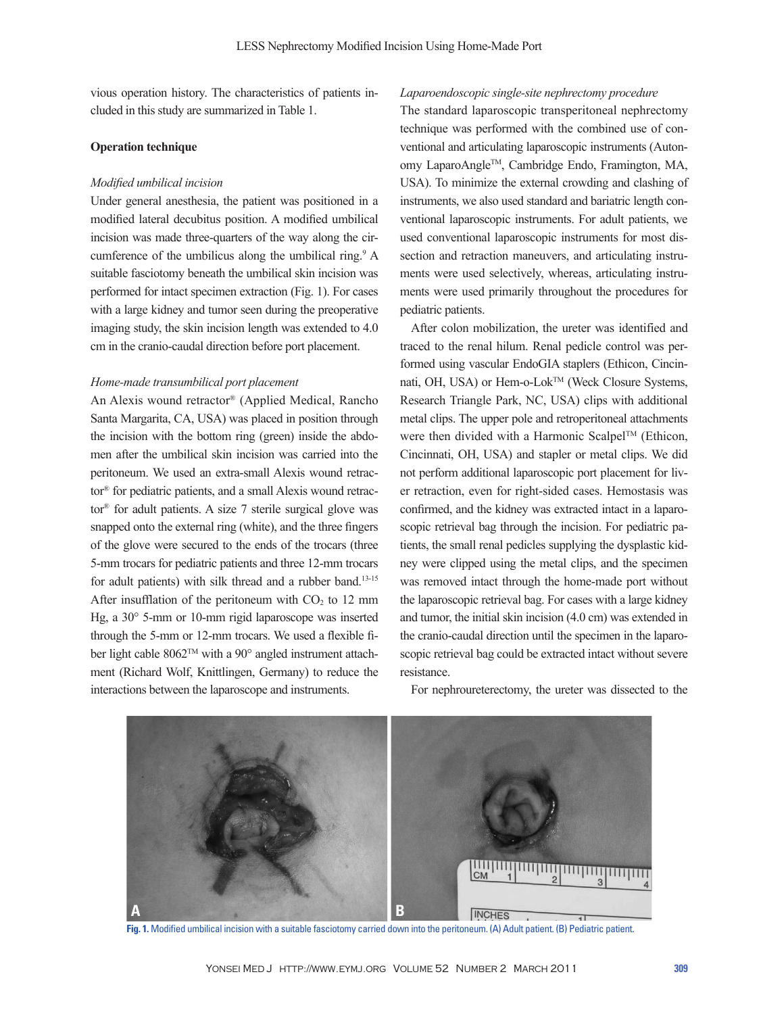vious operation history. The characteristics of patients included in this study are summarized in Table 1.

### **Operation technique**

#### *Modified umbilical incision*

Under general anesthesia, the patient was positioned in a modified lateral decubitus position. A modified umbilical incision was made three-quarters of the way along the circumference of the umbilicus along the umbilical ring.<sup>9</sup> A suitable fasciotomy beneath the umbilical skin incision was performed for intact specimen extraction (Fig. 1). For cases with a large kidney and tumor seen during the preoperative imaging study, the skin incision length was extended to 4.0 cm in the cranio-caudal direction before port placement.

## *Home-made transumbilical port placement*

An Alexis wound retractor® (Applied Medical, Rancho Santa Margarita, CA, USA) was placed in position through the incision with the bottom ring (green) inside the abdomen after the umbilical skin incision was carried into the peritoneum. We used an extra-small Alexis wound retractor® for pediatric patients, and a small Alexis wound retractor® for adult patients. A size 7 sterile surgical glove was snapped onto the external ring (white), and the three fingers of the glove were secured to the ends of the trocars (three 5-mm trocars for pediatric patients and three 12-mm trocars for adult patients) with silk thread and a rubber band.<sup>13-15</sup> After insufflation of the peritoneum with  $CO<sub>2</sub>$  to 12 mm Hg, a 30° 5-mm or 10-mm rigid laparoscope was inserted through the 5-mm or 12-mm trocars. We used a flexible fiber light cable 8062™ with a 90° angled instrument attachment (Richard Wolf, Knittlingen, Germany) to reduce the interactions between the laparoscope and instruments.

## *Laparoendoscopic single-site nephrectomy procedure*

The standard laparoscopic transperitoneal nephrectomy technique was performed with the combined use of conventional and articulating laparoscopic instruments (Autonomy LaparoAngleTM, Cambridge Endo, Framington, MA, USA). To minimize the external crowding and clashing of instruments, we also used standard and bariatric length conventional laparoscopic instruments. For adult patients, we used conventional laparoscopic instruments for most dissection and retraction maneuvers, and articulating instruments were used selectively, whereas, articulating instruments were used primarily throughout the procedures for pediatric patients.

After colon mobilization, the ureter was identified and traced to the renal hilum. Renal pedicle control was performed using vascular EndoGIA staplers (Ethicon, Cincinnati, OH, USA) or Hem-o-Lok™ (Weck Closure Systems, Research Triangle Park, NC, USA) clips with additional metal clips. The upper pole and retroperitoneal attachments were then divided with a Harmonic Scalpel™ (Ethicon, Cincinnati, OH, USA) and stapler or metal clips. We did not perform additional laparoscopic port placement for liver retraction, even for right-sided cases. Hemostasis was confirmed, and the kidney was extracted intact in a laparoscopic retrieval bag through the incision. For pediatric patients, the small renal pedicles supplying the dysplastic kidney were clipped using the metal clips, and the specimen was removed intact through the home-made port without the laparoscopic retrieval bag. For cases with a large kidney and tumor, the initial skin incision (4.0 cm) was extended in the cranio-caudal direction until the specimen in the laparoscopic retrieval bag could be extracted intact without severe resistance.

**A BINCHES** 

For nephroureterectomy, the ureter was dissected to the

**Fig. 1.** Modified umbilical incision with a suitable fasciotomy carried down into the peritoneum. (A) Adult patient. (B) Pediatric patient.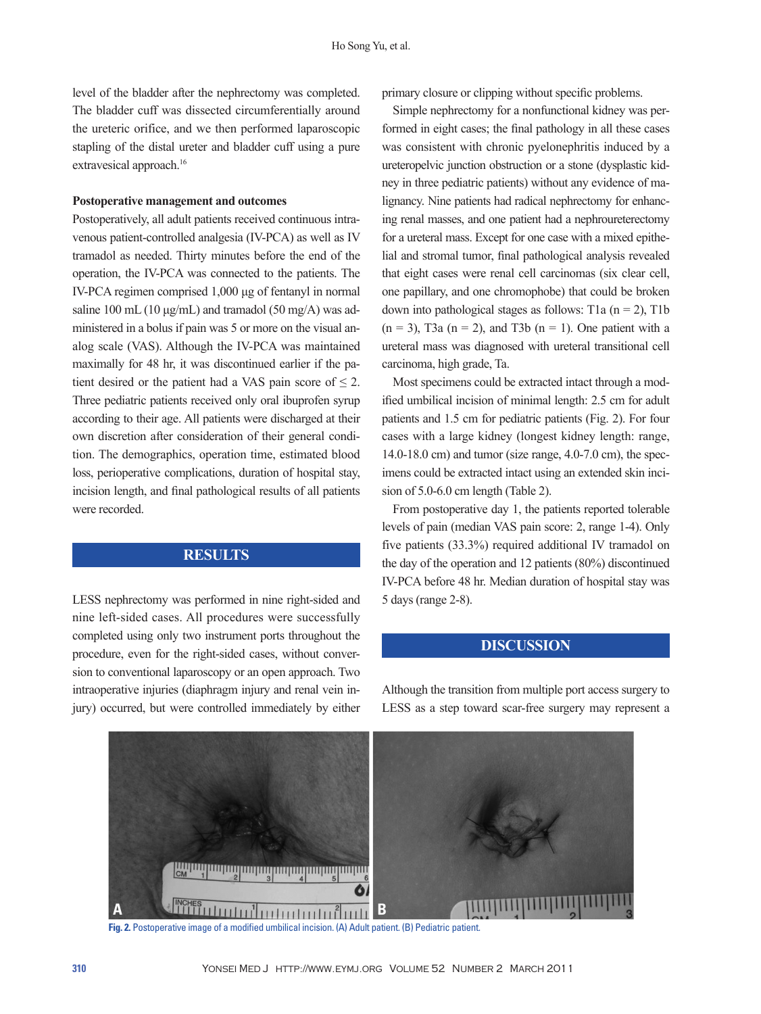level of the bladder after the nephrectomy was completed. The bladder cuff was dissected circumferentially around the ureteric orifice, and we then performed laparoscopic stapling of the distal ureter and bladder cuff using a pure extravesical approach.<sup>16</sup>

#### **Postoperative management and outcomes**

Postoperatively, all adult patients received continuous intravenous patient-controlled analgesia (IV-PCA) as well as IV tramadol as needed. Thirty minutes before the end of the operation, the IV-PCA was connected to the patients. The IV-PCA regimen comprised 1,000 μg of fentanyl in normal saline 100 mL (10  $\mu$ g/mL) and tramadol (50 mg/A) was administered in a bolus if pain was 5 or more on the visual analog scale (VAS). Although the IV-PCA was maintained maximally for 48 hr, it was discontinued earlier if the patient desired or the patient had a VAS pain score of  $\leq 2$ . Three pediatric patients received only oral ibuprofen syrup according to their age. All patients were discharged at their own discretion after consideration of their general condition. The demographics, operation time, estimated blood loss, perioperative complications, duration of hospital stay, incision length, and final pathological results of all patients were recorded.

# **RESULTS**

LESS nephrectomy was performed in nine right-sided and nine left-sided cases. All procedures were successfully completed using only two instrument ports throughout the procedure, even for the right-sided cases, without conversion to conventional laparoscopy or an open approach. Two intraoperative injuries (diaphragm injury and renal vein injury) occurred, but were controlled immediately by either primary closure or clipping without specific problems.

Simple nephrectomy for a nonfunctional kidney was performed in eight cases; the final pathology in all these cases was consistent with chronic pyelonephritis induced by a ureteropelvic junction obstruction or a stone (dysplastic kidney in three pediatric patients) without any evidence of malignancy. Nine patients had radical nephrectomy for enhancing renal masses, and one patient had a nephroureterectomy for a ureteral mass. Except for one case with a mixed epithelial and stromal tumor, final pathological analysis revealed that eight cases were renal cell carcinomas (six clear cell, one papillary, and one chromophobe) that could be broken down into pathological stages as follows: T1a  $(n = 2)$ , T1b  $(n = 3)$ , T3a  $(n = 2)$ , and T3b  $(n = 1)$ . One patient with a ureteral mass was diagnosed with ureteral transitional cell carcinoma, high grade, Ta.

Most specimens could be extracted intact through a modified umbilical incision of minimal length: 2.5 cm for adult patients and 1.5 cm for pediatric patients (Fig. 2). For four cases with a large kidney (longest kidney length: range, 14.0-18.0 cm) and tumor (size range, 4.0-7.0 cm), the specimens could be extracted intact using an extended skin incision of 5.0-6.0 cm length (Table 2).

From postoperative day 1, the patients reported tolerable levels of pain (median VAS pain score: 2, range 1-4). Only five patients (33.3%) required additional IV tramadol on the day of the operation and 12 patients (80%) discontinued IV-PCA before 48 hr. Median duration of hospital stay was 5 days (range 2-8).

## **DISCUSSION**

Although the transition from multiple port access surgery to LESS as a step toward scar-free surgery may represent a



**Fig. 2.** Postoperative image of a modified umbilical incision. (A) Adult patient. (B) Pediatric patient.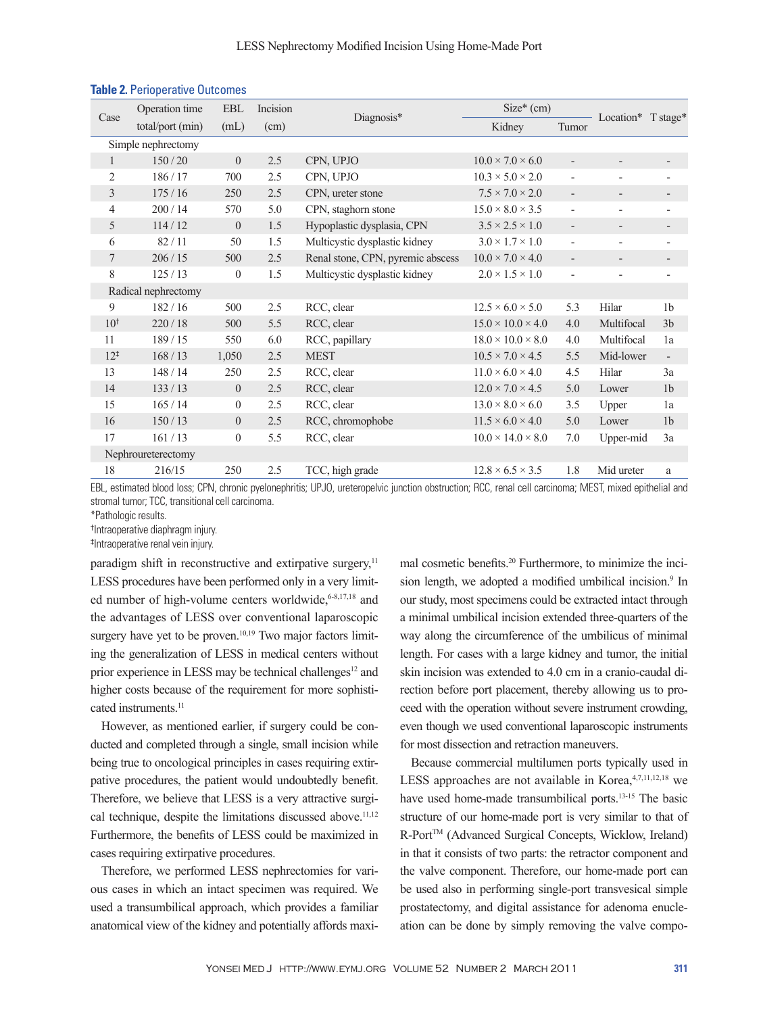| Case               | Operation time      | EBL              | Incision |                                   | $Size*(cm)$                   |                              |                          |                          |
|--------------------|---------------------|------------------|----------|-----------------------------------|-------------------------------|------------------------------|--------------------------|--------------------------|
|                    | total/port (min)    | (mL)             | (cm)     | Diagnosis*                        | Kidney                        | Tumor                        | Location* T stage*       |                          |
|                    | Simple nephrectomy  |                  |          |                                   |                               |                              |                          |                          |
| 1                  | 150/20              | $\mathbf{0}$     | 2.5      | CPN, UPJO                         | $10.0 \times 7.0 \times 6.0$  | $\overline{\phantom{a}}$     |                          |                          |
| $\overline{c}$     | 186/17              | 700              | 2.5      | CPN, UPJO                         | $10.3 \times 5.0 \times 2.0$  | $\overline{\phantom{a}}$     | $\overline{\phantom{0}}$ | $\overline{\phantom{a}}$ |
| 3                  | 175/16              | 250              | $2.5$    | CPN, ureter stone                 | $7.5 \times 7.0 \times 2.0$   | $\overline{\phantom{a}}$     | $\overline{\phantom{a}}$ | $\overline{\phantom{a}}$ |
| 4                  | 200/14              | 570              | 5.0      | CPN, staghorn stone               | $15.0 \times 8.0 \times 3.5$  | $\overline{\phantom{a}}$     | $\overline{\phantom{a}}$ | $\overline{\phantom{a}}$ |
| 5                  | 114/12              | $\mathbf{0}$     | 1.5      | Hypoplastic dysplasia, CPN        | $3.5 \times 2.5 \times 1.0$   | $\overline{\phantom{a}}$     | $\overline{\phantom{a}}$ | $\overline{\phantom{a}}$ |
| 6                  | 82/11               | 50               | 1.5      | Multicystic dysplastic kidney     | $3.0 \times 1.7 \times 1.0$   | $\overline{\phantom{a}}$     | $\overline{\phantom{a}}$ | $\overline{\phantom{a}}$ |
| 7                  | 206/15              | 500              | 2.5      | Renal stone, CPN, pyremic abscess | $10.0 \times 7.0 \times 4.0$  | $\qquad \qquad \blacksquare$ | $\overline{\phantom{a}}$ |                          |
| 8                  | 125/13              | $\theta$         | 1.5      | Multicystic dysplastic kidney     | $2.0 \times 1.5 \times 1.0$   | $\overline{\phantom{a}}$     | $\overline{a}$           | $\overline{\phantom{a}}$ |
|                    | Radical nephrectomy |                  |          |                                   |                               |                              |                          |                          |
| 9                  | 182/16              | 500              | 2.5      | RCC, clear                        | $12.5 \times 6.0 \times 5.0$  | 5.3                          | Hilar                    | 1 <sub>b</sub>           |
| 10 <sup>†</sup>    | 220/18              | 500              | 5.5      | RCC, clear                        | $15.0 \times 10.0 \times 4.0$ | 4.0                          | Multifocal               | 3 <sub>b</sub>           |
| 11                 | 189/15              | 550              | 6.0      | RCC, papillary                    | $18.0 \times 10.0 \times 8.0$ | 4.0                          | Multifocal               | 1a                       |
| $12^{+}$           | 168/13              | 1,050            | $2.5$    | <b>MEST</b>                       | $10.5 \times 7.0 \times 4.5$  | 5.5                          | Mid-lower                | $\overline{\phantom{a}}$ |
| 13                 | 148/14              | 250              | 2.5      | RCC, clear                        | $11.0 \times 6.0 \times 4.0$  | 4.5                          | Hilar                    | 3a                       |
| 14                 | 133/13              | $\overline{0}$   | $2.5$    | RCC, clear                        | $12.0 \times 7.0 \times 4.5$  | 5.0                          | Lower                    | 1 <sub>b</sub>           |
| 15                 | 165/14              | $\boldsymbol{0}$ | 2.5      | RCC, clear                        | $13.0 \times 8.0 \times 6.0$  | 3.5                          | Upper                    | 1a                       |
| 16                 | 150/13              | $\mathbf{0}$     | 2.5      | RCC, chromophobe                  | $11.5 \times 6.0 \times 4.0$  | 5.0                          | Lower                    | 1 <sub>b</sub>           |
| 17                 | 161/13              | $\boldsymbol{0}$ | 5.5      | RCC, clear                        | $10.0 \times 14.0 \times 8.0$ | 7.0                          | Upper-mid                | 3a                       |
| Nephroureterectomy |                     |                  |          |                                   |                               |                              |                          |                          |
| 18                 | 216/15              | 250              | 2.5      | TCC, high grade                   | $12.8 \times 6.5 \times 3.5$  | 1.8                          | Mid ureter               | $\rm{a}$                 |

# **Table 2.** Perioperative Outcomes

EBL, estimated blood loss; CPN, chronic pyelonephritis; UPJO, ureteropelvic junction obstruction; RCC, renal cell carcinoma; MEST, mixed epithelial and stromal tumor; TCC, transitional cell carcinoma.

\*Pathologic results.

† Intraoperative diaphragm injury.

‡ Intraoperative renal vein injury.

paradigm shift in reconstructive and extirpative surgery, $11$ LESS procedures have been performed only in a very limited number of high-volume centers worldwide, 6-8,17,18 and the advantages of LESS over conventional laparoscopic surgery have yet to be proven.<sup>10,19</sup> Two major factors limiting the generalization of LESS in medical centers without prior experience in LESS may be technical challenges<sup>12</sup> and higher costs because of the requirement for more sophisticated instruments<sup>11</sup>

However, as mentioned earlier, if surgery could be conducted and completed through a single, small incision while being true to oncological principles in cases requiring extirpative procedures, the patient would undoubtedly benefit. Therefore, we believe that LESS is a very attractive surgical technique, despite the limitations discussed above. $11,12$ Furthermore, the benefits of LESS could be maximized in cases requiring extirpative procedures.

Therefore, we performed LESS nephrectomies for various cases in which an intact specimen was required. We used a transumbilical approach, which provides a familiar anatomical view of the kidney and potentially affords maximal cosmetic benefits.20 Furthermore, to minimize the incision length, we adopted a modified umbilical incision.<sup>9</sup> In our study, most specimens could be extracted intact through a minimal umbilical incision extended three-quarters of the way along the circumference of the umbilicus of minimal length. For cases with a large kidney and tumor, the initial skin incision was extended to 4.0 cm in a cranio-caudal direction before port placement, thereby allowing us to proceed with the operation without severe instrument crowding, even though we used conventional laparoscopic instruments for most dissection and retraction maneuvers.

Because commercial multilumen ports typically used in LESS approaches are not available in Korea, 4,7,11,12,18 we have used home-made transumbilical ports.<sup>13-15</sup> The basic structure of our home-made port is very similar to that of R-Port™ (Advanced Surgical Concepts, Wicklow, Ireland) in that it consists of two parts: the retractor component and the valve component. Therefore, our home-made port can be used also in performing single-port transvesical simple prostatectomy, and digital assistance for adenoma enucleation can be done by simply removing the valve compo-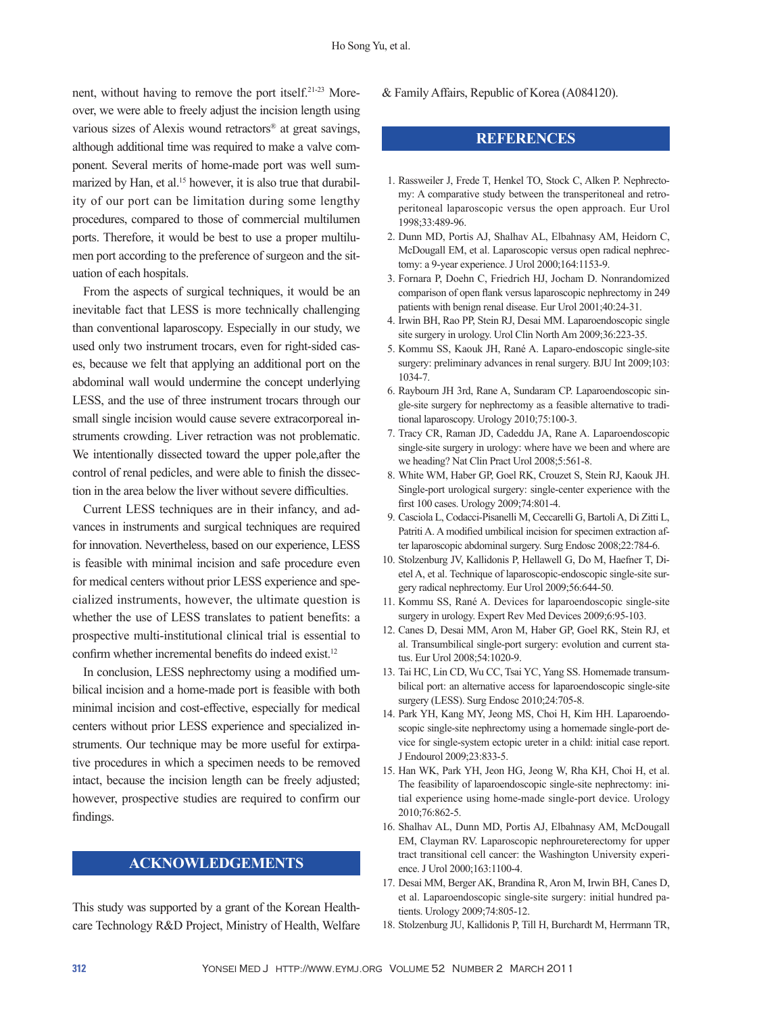nent, without having to remove the port itself.21-23 Moreover, we were able to freely adjust the incision length using various sizes of Alexis wound retractors® at great savings, although additional time was required to make a valve component. Several merits of home-made port was well summarized by Han, et al.<sup>15</sup> however, it is also true that durability of our port can be limitation during some lengthy procedures, compared to those of commercial multilumen ports. Therefore, it would be best to use a proper multilumen port according to the preference of surgeon and the situation of each hospitals.

From the aspects of surgical techniques, it would be an inevitable fact that LESS is more technically challenging than conventional laparoscopy. Especially in our study, we used only two instrument trocars, even for right-sided cases, because we felt that applying an additional port on the abdominal wall would undermine the concept underlying LESS, and the use of three instrument trocars through our small single incision would cause severe extracorporeal instruments crowding. Liver retraction was not problematic. We intentionally dissected toward the upper pole,after the control of renal pedicles, and were able to finish the dissection in the area below the liver without severe difficulties.

Current LESS techniques are in their infancy, and advances in instruments and surgical techniques are required for innovation. Nevertheless, based on our experience, LESS is feasible with minimal incision and safe procedure even for medical centers without prior LESS experience and specialized instruments, however, the ultimate question is whether the use of LESS translates to patient benefits: a prospective multi-institutional clinical trial is essential to confirm whether incremental benefits do indeed exist.<sup>12</sup>

In conclusion, LESS nephrectomy using a modified umbilical incision and a home-made port is feasible with both minimal incision and cost-effective, especially for medical centers without prior LESS experience and specialized instruments. Our technique may be more useful for extirpative procedures in which a specimen needs to be removed intact, because the incision length can be freely adjusted; however, prospective studies are required to confirm our findings.

# **ACKNOWLEDGEMENTS**

This study was supported by a grant of the Korean Healthcare Technology R&D Project, Ministry of Health, Welfare & Family Affairs, Republic of Korea (A084120).

## **REFERENCES**

- 1. Rassweiler J, Frede T, Henkel TO, Stock C, Alken P. Nephrectomy: A comparative study between the transperitoneal and retroperitoneal laparoscopic versus the open approach. Eur Urol 1998;33:489-96.
- 2. Dunn MD, Portis AJ, Shalhav AL, Elbahnasy AM, Heidorn C, McDougall EM, et al. Laparoscopic versus open radical nephrectomy: a 9-year experience. J Urol 2000;164:1153-9.
- 3. Fornara P, Doehn C, Friedrich HJ, Jocham D. Nonrandomized comparison of open flank versus laparoscopic nephrectomy in 249 patients with benign renal disease. Eur Urol 2001;40:24-31.
- 4. Irwin BH, Rao PP, Stein RJ, Desai MM. Laparoendoscopic single site surgery in urology. Urol Clin North Am 2009;36:223-35.
- 5. Kommu SS, Kaouk JH, Rané A. Laparo-endoscopic single-site surgery: preliminary advances in renal surgery. BJU Int 2009;103: 1034-7.
- 6. Raybourn JH 3rd, Rane A, Sundaram CP. Laparoendoscopic single-site surgery for nephrectomy as a feasible alternative to traditional laparoscopy. Urology 2010;75:100-3.
- 7. Tracy CR, Raman JD, Cadeddu JA, Rane A. Laparoendoscopic single-site surgery in urology: where have we been and where are we heading? Nat Clin Pract Urol 2008;5:561-8.
- 8. White WM, Haber GP, Goel RK, Crouzet S, Stein RJ, Kaouk JH. Single-port urological surgery: single-center experience with the first 100 cases. Urology 2009;74:801-4.
- 9. Casciola L, Codacci-Pisanelli M, Ceccarelli G, Bartoli A, Di Zitti L, Patriti A. A modified umbilical incision for specimen extraction after laparoscopic abdominal surgery. Surg Endosc 2008;22:784-6.
- 10. Stolzenburg JV, Kallidonis P, Hellawell G, Do M, Haefner T, Dietel A, et al. Technique of laparoscopic-endoscopic single-site surgery radical nephrectomy. Eur Urol 2009;56:644-50.
- 11. Kommu SS, Rané A. Devices for laparoendoscopic single-site surgery in urology. Expert Rev Med Devices 2009;6:95-103.
- 12. Canes D, Desai MM, Aron M, Haber GP, Goel RK, Stein RJ, et al. Transumbilical single-port surgery: evolution and current status. Eur Urol 2008;54:1020-9.
- 13. Tai HC, Lin CD, Wu CC, Tsai YC, Yang SS. Homemade transumbilical port: an alternative access for laparoendoscopic single-site surgery (LESS). Surg Endosc 2010;24:705-8.
- 14. Park YH, Kang MY, Jeong MS, Choi H, Kim HH. Laparoendoscopic single-site nephrectomy using a homemade single-port device for single-system ectopic ureter in a child: initial case report. J Endourol 2009;23:833-5.
- 15. Han WK, Park YH, Jeon HG, Jeong W, Rha KH, Choi H, et al. The feasibility of laparoendoscopic single-site nephrectomy: initial experience using home-made single-port device. Urology 2010;76:862-5.
- 16. Shalhav AL, Dunn MD, Portis AJ, Elbahnasy AM, McDougall EM, Clayman RV. Laparoscopic nephroureterectomy for upper tract transitional cell cancer: the Washington University experience. J Urol 2000;163:1100-4.
- 17. Desai MM, Berger AK, Brandina R, Aron M, Irwin BH, Canes D, et al. Laparoendoscopic single-site surgery: initial hundred patients. Urology 2009;74:805-12.
- 18. Stolzenburg JU, Kallidonis P, Till H, Burchardt M, Herrmann TR,